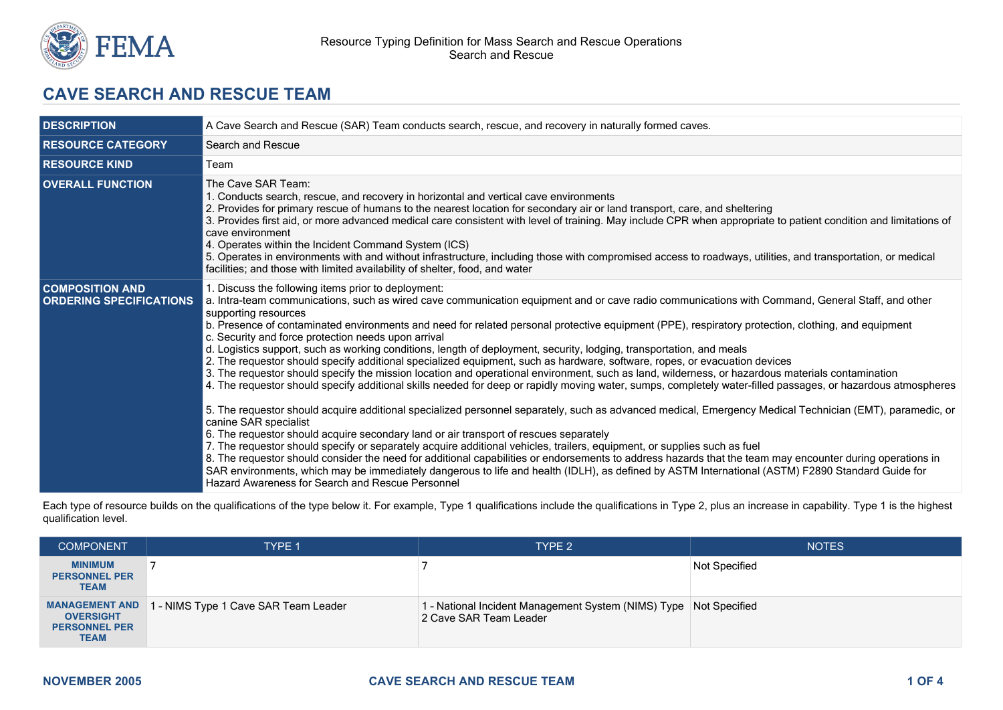

# **CAVE SEARCH AND RESCUE TEAM**

| <b>DESCRIPTION</b>                                       | A Cave Search and Rescue (SAR) Team conducts search, rescue, and recovery in naturally formed caves.                                                                                                                                                                                                                                                                                                                                                                                                                                                                                                                                                                                                                                                                                                                                                                                                                                                                                                                                                                                                                                                                                                                                                                                                                                                                                                                                                                                                                                                                                                                                                                                                                                                                                                  |  |  |
|----------------------------------------------------------|-------------------------------------------------------------------------------------------------------------------------------------------------------------------------------------------------------------------------------------------------------------------------------------------------------------------------------------------------------------------------------------------------------------------------------------------------------------------------------------------------------------------------------------------------------------------------------------------------------------------------------------------------------------------------------------------------------------------------------------------------------------------------------------------------------------------------------------------------------------------------------------------------------------------------------------------------------------------------------------------------------------------------------------------------------------------------------------------------------------------------------------------------------------------------------------------------------------------------------------------------------------------------------------------------------------------------------------------------------------------------------------------------------------------------------------------------------------------------------------------------------------------------------------------------------------------------------------------------------------------------------------------------------------------------------------------------------------------------------------------------------------------------------------------------------|--|--|
| <b>RESOURCE CATEGORY</b>                                 | Search and Rescue                                                                                                                                                                                                                                                                                                                                                                                                                                                                                                                                                                                                                                                                                                                                                                                                                                                                                                                                                                                                                                                                                                                                                                                                                                                                                                                                                                                                                                                                                                                                                                                                                                                                                                                                                                                     |  |  |
| <b>RESOURCE KIND</b>                                     | Team                                                                                                                                                                                                                                                                                                                                                                                                                                                                                                                                                                                                                                                                                                                                                                                                                                                                                                                                                                                                                                                                                                                                                                                                                                                                                                                                                                                                                                                                                                                                                                                                                                                                                                                                                                                                  |  |  |
| <b>OVERALL FUNCTION</b>                                  | The Cave SAR Team:<br>1. Conducts search, rescue, and recovery in horizontal and vertical cave environments<br>2. Provides for primary rescue of humans to the nearest location for secondary air or land transport, care, and sheltering<br>3. Provides first aid, or more advanced medical care consistent with level of training. May include CPR when appropriate to patient condition and limitations of<br>cave environment<br>4. Operates within the Incident Command System (ICS)<br>5. Operates in environments with and without infrastructure, including those with compromised access to roadways, utilities, and transportation, or medical<br>facilities; and those with limited availability of shelter, food, and water                                                                                                                                                                                                                                                                                                                                                                                                                                                                                                                                                                                                                                                                                                                                                                                                                                                                                                                                                                                                                                                               |  |  |
| <b>COMPOSITION AND</b><br><b>ORDERING SPECIFICATIONS</b> | 1. Discuss the following items prior to deployment:<br>a. Intra-team communications, such as wired cave communication equipment and or cave radio communications with Command, General Staff, and other<br>supporting resources<br>b. Presence of contaminated environments and need for related personal protective equipment (PPE), respiratory protection, clothing, and equipment<br>c. Security and force protection needs upon arrival<br>d. Logistics support, such as working conditions, length of deployment, security, lodging, transportation, and meals<br>2. The requestor should specify additional specialized equipment, such as hardware, software, ropes, or evacuation devices<br>3. The requestor should specify the mission location and operational environment, such as land, wilderness, or hazardous materials contamination<br>4. The requestor should specify additional skills needed for deep or rapidly moving water, sumps, completely water-filled passages, or hazardous atmospheres<br>5. The requestor should acquire additional specialized personnel separately, such as advanced medical, Emergency Medical Technician (EMT), paramedic, or<br>canine SAR specialist<br>6. The requestor should acquire secondary land or air transport of rescues separately<br>7. The requestor should specify or separately acquire additional vehicles, trailers, equipment, or supplies such as fuel<br>8. The requestor should consider the need for additional capabilities or endorsements to address hazards that the team may encounter during operations in<br>SAR environments, which may be immediately dangerous to life and health (IDLH), as defined by ASTM International (ASTM) F2890 Standard Guide for<br>Hazard Awareness for Search and Rescue Personnel |  |  |

Each type of resource builds on the qualifications of the type below it. For example, Type 1 qualifications include the qualifications in Type 2, plus an increase in capability. Type 1 is the highest qualification level.

| <b>COMPONENT</b>                                                                 | <b>TYPE 1</b>                        | TYPE <sub>2</sub>                                                                             | <b>NOTES</b>  |
|----------------------------------------------------------------------------------|--------------------------------------|-----------------------------------------------------------------------------------------------|---------------|
| <b>MINIMUM</b><br><b>PERSONNEL PER</b><br><b>TEAM</b>                            |                                      |                                                                                               | Not Specified |
| <b>MANAGEMENT AND</b><br><b>OVERSIGHT</b><br><b>PERSONNEL PER</b><br><b>TEAM</b> | 1 - NIMS Type 1 Cave SAR Team Leader | 1 - National Incident Management System (NIMS) Type   Not Specified<br>2 Cave SAR Team Leader |               |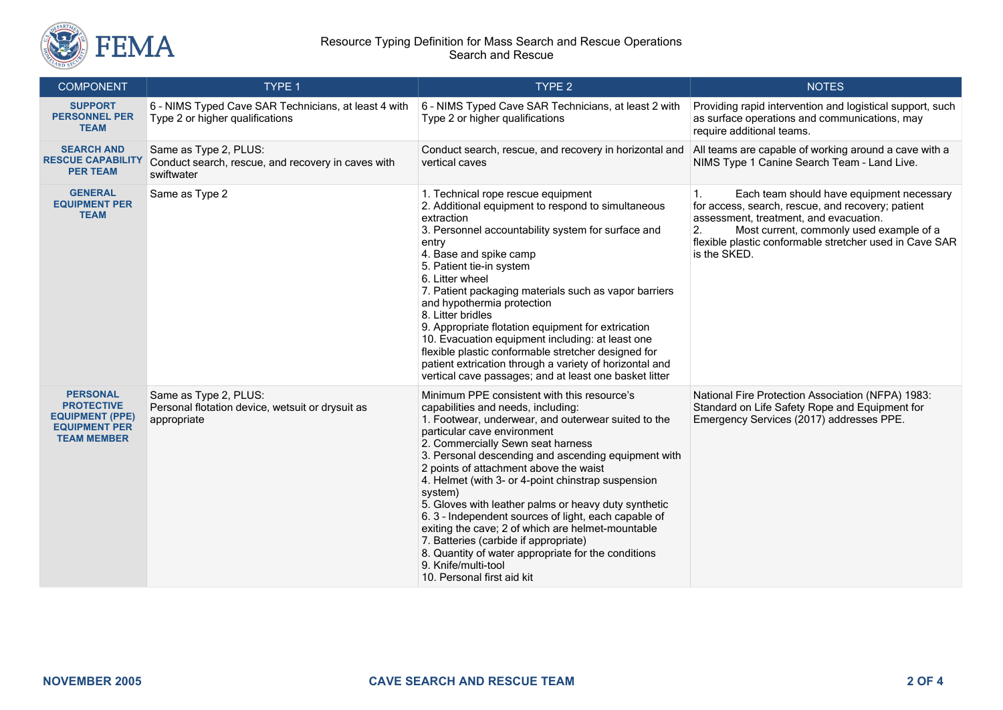

#### Resource Typing Definition for Mass Search and Rescue Operations Search and Rescue

| <b>COMPONENT</b>                                                                                             | TYPE 1                                                                                    | TYPE 2                                                                                                                                                                                                                                                                                                                                                                                                                                                                                                                                                                                                                                                                                                   | <b>NOTES</b>                                                                                                                                                                                                                                                                |
|--------------------------------------------------------------------------------------------------------------|-------------------------------------------------------------------------------------------|----------------------------------------------------------------------------------------------------------------------------------------------------------------------------------------------------------------------------------------------------------------------------------------------------------------------------------------------------------------------------------------------------------------------------------------------------------------------------------------------------------------------------------------------------------------------------------------------------------------------------------------------------------------------------------------------------------|-----------------------------------------------------------------------------------------------------------------------------------------------------------------------------------------------------------------------------------------------------------------------------|
| <b>SUPPORT</b><br><b>PERSONNEL PER</b><br><b>TEAM</b>                                                        | 6 - NIMS Typed Cave SAR Technicians, at least 4 with<br>Type 2 or higher qualifications   | 6 - NIMS Typed Cave SAR Technicians, at least 2 with<br>Type 2 or higher qualifications                                                                                                                                                                                                                                                                                                                                                                                                                                                                                                                                                                                                                  | Providing rapid intervention and logistical support, such<br>as surface operations and communications, may<br>require additional teams.                                                                                                                                     |
| <b>SEARCH AND</b><br><b>RESCUE CAPABILITY</b><br><b>PER TEAM</b>                                             | Same as Type 2, PLUS:<br>Conduct search, rescue, and recovery in caves with<br>swiftwater | Conduct search, rescue, and recovery in horizontal and<br>vertical caves                                                                                                                                                                                                                                                                                                                                                                                                                                                                                                                                                                                                                                 | All teams are capable of working around a cave with a<br>NIMS Type 1 Canine Search Team - Land Live.                                                                                                                                                                        |
| <b>GENERAL</b><br><b>EQUIPMENT PER</b><br><b>TEAM</b>                                                        | Same as Type 2                                                                            | 1. Technical rope rescue equipment<br>2. Additional equipment to respond to simultaneous<br>extraction<br>3. Personnel accountability system for surface and<br>entry<br>4. Base and spike camp<br>5. Patient tie-in system<br>6. Litter wheel<br>7. Patient packaging materials such as vapor barriers<br>and hypothermia protection<br>8. Litter bridles<br>9. Appropriate flotation equipment for extrication<br>10. Evacuation equipment including: at least one<br>flexible plastic conformable stretcher designed for<br>patient extrication through a variety of horizontal and<br>vertical cave passages; and at least one basket litter                                                         | 1.<br>Each team should have equipment necessary<br>for access, search, rescue, and recovery; patient<br>assessment, treatment, and evacuation.<br>2.<br>Most current, commonly used example of a<br>flexible plastic conformable stretcher used in Cave SAR<br>is the SKED. |
| <b>PERSONAL</b><br><b>PROTECTIVE</b><br><b>EQUIPMENT (PPE)</b><br><b>EQUIPMENT PER</b><br><b>TEAM MEMBER</b> | Same as Type 2, PLUS:<br>Personal flotation device, wetsuit or drysuit as<br>appropriate  | Minimum PPE consistent with this resource's<br>capabilities and needs, including:<br>1. Footwear, underwear, and outerwear suited to the<br>particular cave environment<br>2. Commercially Sewn seat harness<br>3. Personal descending and ascending equipment with<br>2 points of attachment above the waist<br>4. Helmet (with 3- or 4-point chinstrap suspension<br>system)<br>5. Gloves with leather palms or heavy duty synthetic<br>6. 3 - Independent sources of light, each capable of<br>exiting the cave; 2 of which are helmet-mountable<br>7. Batteries (carbide if appropriate)<br>8. Quantity of water appropriate for the conditions<br>9. Knife/multi-tool<br>10. Personal first aid kit | National Fire Protection Association (NFPA) 1983:<br>Standard on Life Safety Rope and Equipment for<br>Emergency Services (2017) addresses PPE.                                                                                                                             |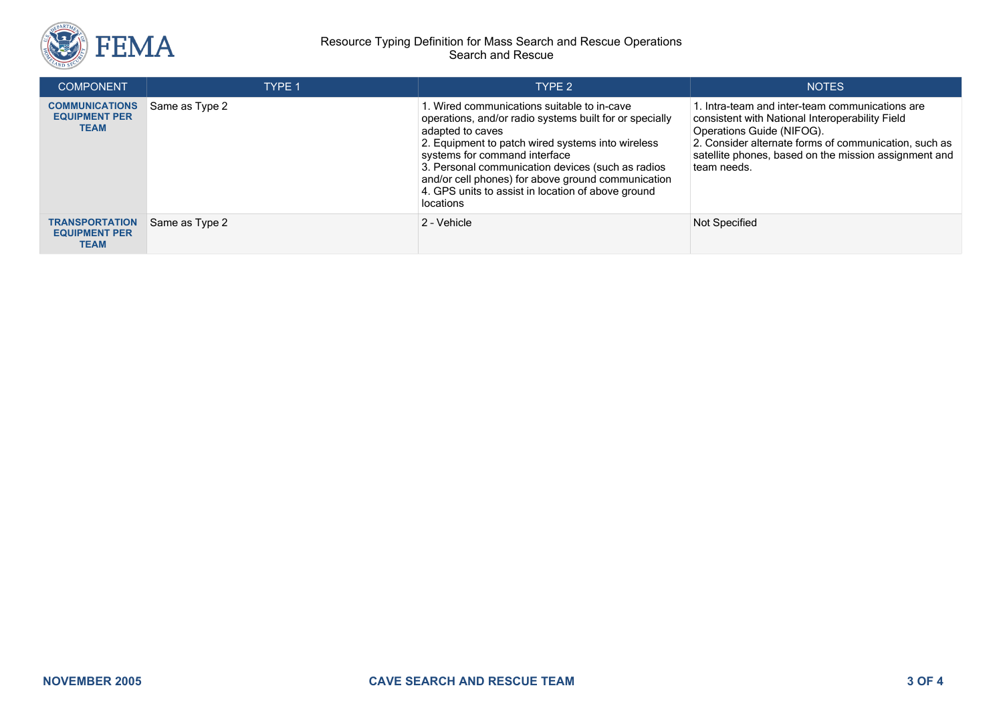

#### Resource Typing Definition for Mass Search and Rescue Operations Search and Rescue

| <b>COMPONENT</b>                                             | TYPF <sub>1</sub> | TYPE 2                                                                                                                                                                                                                                                                                                                                                                                         | <b>NOTES</b>                                                                                                                                                                                                                                                     |
|--------------------------------------------------------------|-------------------|------------------------------------------------------------------------------------------------------------------------------------------------------------------------------------------------------------------------------------------------------------------------------------------------------------------------------------------------------------------------------------------------|------------------------------------------------------------------------------------------------------------------------------------------------------------------------------------------------------------------------------------------------------------------|
| <b>COMMUNICATIONS</b><br><b>EQUIPMENT PER</b><br><b>TEAM</b> | Same as Type 2    | 1. Wired communications suitable to in-cave<br>operations, and/or radio systems built for or specially<br>adapted to caves<br>2. Equipment to patch wired systems into wireless<br>systems for command interface<br>3. Personal communication devices (such as radios<br>and/or cell phones) for above ground communication<br>4. GPS units to assist in location of above ground<br>locations | 1. Intra-team and inter-team communications are<br>consistent with National Interoperability Field<br>Operations Guide (NIFOG).<br>2. Consider alternate forms of communication, such as<br>satellite phones, based on the mission assignment and<br>team needs. |
| <b>TRANSPORTATION</b><br><b>EQUIPMENT PER</b><br>TEAM        | Same as Type 2    | 2 - Vehicle                                                                                                                                                                                                                                                                                                                                                                                    | Not Specified                                                                                                                                                                                                                                                    |